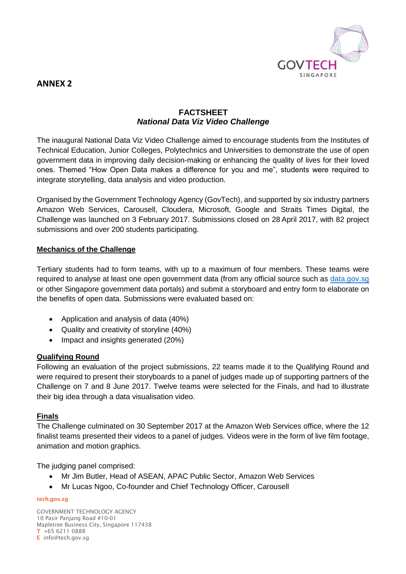

# **ANNEX 2**

# **FACTSHEET** *National Data Viz Video Challenge*

The inaugural National Data Viz Video Challenge aimed to encourage students from the Institutes of Technical Education, Junior Colleges, Polytechnics and Universities to demonstrate the use of open government data in improving daily decision-making or enhancing the quality of lives for their loved ones. Themed "How Open Data makes a difference for you and me", students were required to integrate storytelling, data analysis and video production.

Organised by the Government Technology Agency (GovTech), and supported by six industry partners Amazon Web Services, Carousell, Cloudera, Microsoft, Google and Straits Times Digital, the Challenge was launched on 3 February 2017. Submissions closed on 28 April 2017, with 82 project submissions and over 200 students participating.

### **Mechanics of the Challenge**

Tertiary students had to form teams, with up to a maximum of four members. These teams were required to analyse at least one open government data (from any official source such as [data.gov.sg](http://www.data.gov.sg/) or other Singapore government data portals) and submit a storyboard and entry form to elaborate on the benefits of open data. Submissions were evaluated based on:

- Application and analysis of data (40%)
- Quality and creativity of storyline (40%)
- Impact and insights generated (20%)

### **Qualifying Round**

Following an evaluation of the project submissions, 22 teams made it to the Qualifying Round and were required to present their storyboards to a panel of judges made up of supporting partners of the Challenge on 7 and 8 June 2017. Twelve teams were selected for the Finals, and had to illustrate their big idea through a data visualisation video.

### **Finals**

The Challenge culminated on 30 September 2017 at the Amazon Web Services office, where the 12 finalist teams presented their videos to a panel of judges. Videos were in the form of live film footage, animation and motion graphics.

The judging panel comprised:

- Mr Jim Butler, Head of ASEAN, APAC Public Sector, Amazon Web Services
- Mr Lucas Ngoo, Co-founder and Chief Technology Officer, Carousell

#### **tech.gov.sg**

GOVERNMENT TECHNOLOGY AGENCY 10 Pasir Panjang Road #10-01 Mapletree Business City, Singapore 117438 **T** +65 6211 0888 **E** info@tech.gov.sg